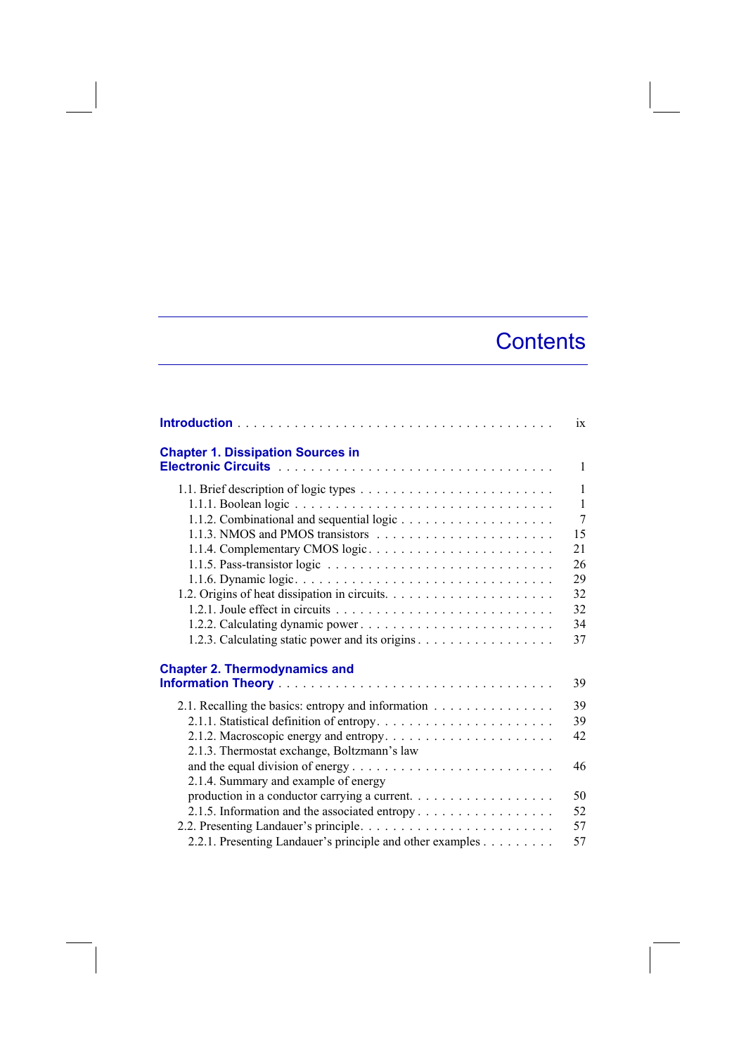## **Contents**

|                                                           | ix             |
|-----------------------------------------------------------|----------------|
| <b>Chapter 1. Dissipation Sources in</b>                  |                |
|                                                           | $\mathbf{1}$   |
|                                                           | $\mathbf{1}$   |
|                                                           | $\mathbf{1}$   |
|                                                           | $\overline{7}$ |
|                                                           | 15             |
| 1.1.4. Complementary CMOS logic                           | 21             |
|                                                           | 26             |
|                                                           | 29             |
|                                                           | 32             |
|                                                           | 32             |
|                                                           | 34             |
|                                                           | 37             |
|                                                           |                |
| <b>Chapter 2. Thermodynamics and</b>                      |                |
|                                                           | 39             |
| 2.1. Recalling the basics: entropy and information        | 39             |
|                                                           | 39             |
|                                                           | 42             |
| 2.1.3. Thermostat exchange, Boltzmann's law               |                |
|                                                           | 46             |
| 2.1.4. Summary and example of energy                      |                |
| production in a conductor carrying a current.             | 50             |
| 2.1.5. Information and the associated entropy             | 52             |
|                                                           | 57             |
| 2.2.1. Presenting Landauer's principle and other examples | 57             |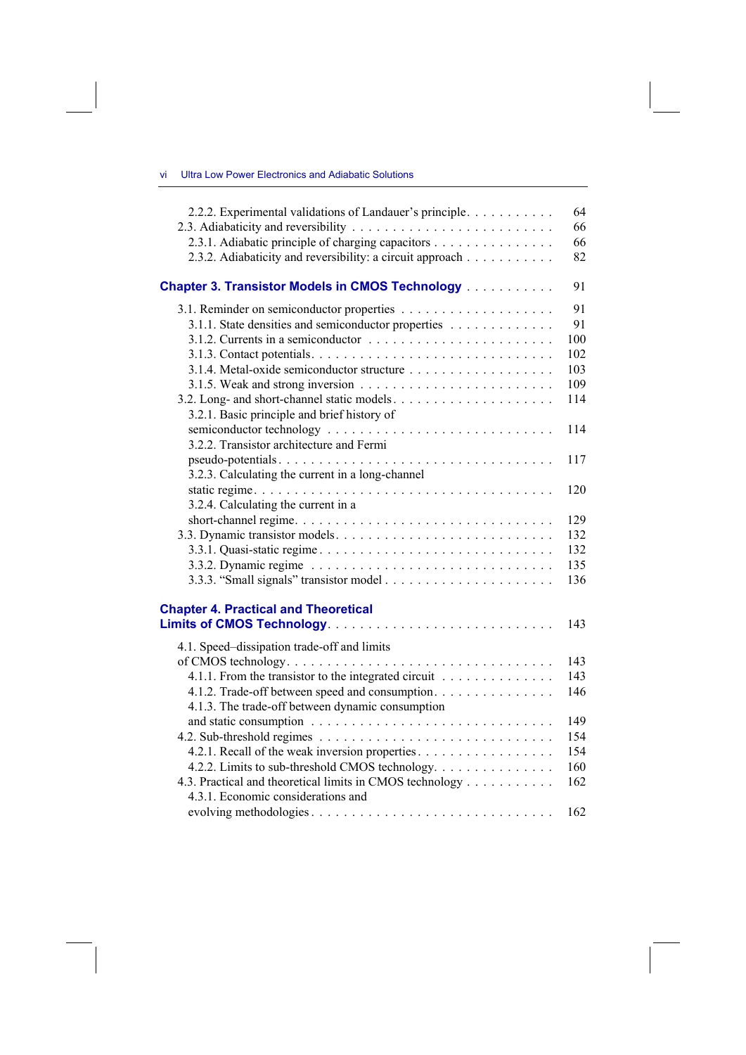| Ultra Low Power Electronics and Adiabatic Solutions |
|-----------------------------------------------------|
|-----------------------------------------------------|

| 2.2.2. Experimental validations of Landauer's principle                                                        | 64<br>66 |
|----------------------------------------------------------------------------------------------------------------|----------|
| 2.3.1. Adiabatic principle of charging capacitors<br>2.3.2. Adiabaticity and reversibility: a circuit approach | 66<br>82 |
| <b>Chapter 3. Transistor Models in CMOS Technology [1] Algebra</b>                                             | 91       |
|                                                                                                                | 91       |
| 3.1.1. State densities and semiconductor properties                                                            | 91       |
|                                                                                                                | 100      |
|                                                                                                                | 102      |
|                                                                                                                | 103      |
|                                                                                                                | 109      |
|                                                                                                                | 114      |
| 3.2.1. Basic principle and brief history of                                                                    |          |
|                                                                                                                | 114      |
| 3.2.2. Transistor architecture and Fermi                                                                       |          |
| pseudo-potentials                                                                                              | 117      |
| 3.2.3. Calculating the current in a long-channel                                                               |          |
|                                                                                                                | 120      |
| 3.2.4. Calculating the current in a                                                                            |          |
|                                                                                                                | 129      |
|                                                                                                                | 132      |
|                                                                                                                | 132      |
|                                                                                                                | 135      |
|                                                                                                                | 136      |
| <b>Chapter 4. Practical and Theoretical</b>                                                                    |          |
|                                                                                                                | 143      |
|                                                                                                                |          |
| 4.1. Speed-dissipation trade-off and limits                                                                    |          |
|                                                                                                                | 143      |
| 4.1.1. From the transistor to the integrated circuit                                                           | 143      |
| 4.1.2. Trade-off between speed and consumption.                                                                | 146      |
| 4.1.3. The trade-off between dynamic consumption                                                               |          |
|                                                                                                                | 149      |
|                                                                                                                | 154      |
| 4.2.1. Recall of the weak inversion properties.                                                                | 154      |
| 4.2.2. Limits to sub-threshold CMOS technology.                                                                | 160      |
| 4.3. Practical and theoretical limits in CMOS technology                                                       | 162      |
| 4.3.1. Economic considerations and                                                                             |          |
|                                                                                                                | 162      |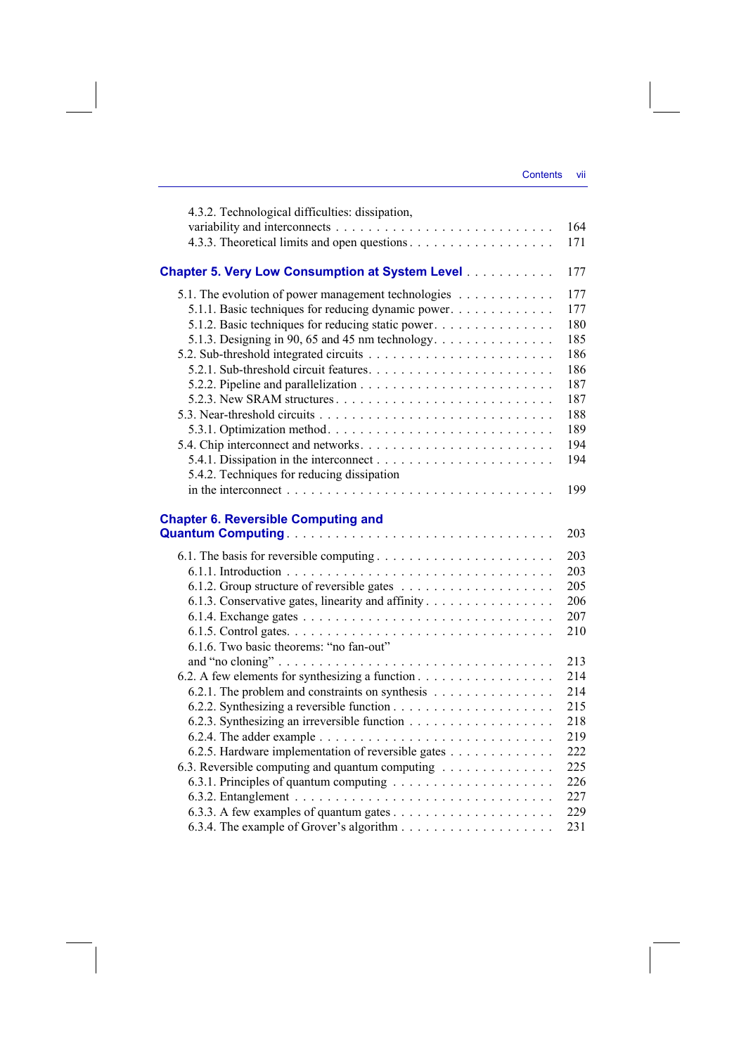| 4.3.2. Technological difficulties: dissipation,                                                  |     |
|--------------------------------------------------------------------------------------------------|-----|
|                                                                                                  | 164 |
|                                                                                                  | 171 |
| <b>Chapter 5. Very Low Consumption at System Level</b>                                           | 177 |
| 5.1. The evolution of power management technologies                                              | 177 |
| 5.1.1. Basic techniques for reducing dynamic power.                                              | 177 |
| 5.1.2. Basic techniques for reducing static power.                                               | 180 |
| 5.1.3. Designing in 90, 65 and 45 nm technology. $\dots \dots \dots \dots \dots$                 | 185 |
|                                                                                                  | 186 |
|                                                                                                  | 186 |
|                                                                                                  | 187 |
|                                                                                                  | 187 |
|                                                                                                  | 188 |
|                                                                                                  | 189 |
|                                                                                                  | 194 |
|                                                                                                  | 194 |
| 5.4.2. Techniques for reducing dissipation                                                       |     |
|                                                                                                  | 199 |
|                                                                                                  |     |
| <b>Chapter 6. Reversible Computing and</b>                                                       | 203 |
|                                                                                                  |     |
|                                                                                                  | 203 |
|                                                                                                  | 203 |
|                                                                                                  | 205 |
| 6.1.3. Conservative gates, linearity and affinity                                                | 206 |
|                                                                                                  | 207 |
|                                                                                                  | 210 |
| 6.1.6. Two basic theorems: "no fan-out"                                                          |     |
|                                                                                                  | 213 |
| 6.2. A few elements for synthesizing a function                                                  | 214 |
| 6.2.1. The problem and constraints on synthesis                                                  | 214 |
|                                                                                                  | 215 |
|                                                                                                  | 218 |
| 6.2.4. The adder example $\ldots \ldots \ldots \ldots \ldots \ldots \ldots \ldots \ldots \ldots$ | 219 |
| 6.2.5. Hardware implementation of reversible gates                                               | 222 |
| 6.3. Reversible computing and quantum computing                                                  | 225 |
|                                                                                                  | 226 |
|                                                                                                  | 227 |
|                                                                                                  | 229 |
|                                                                                                  | 231 |